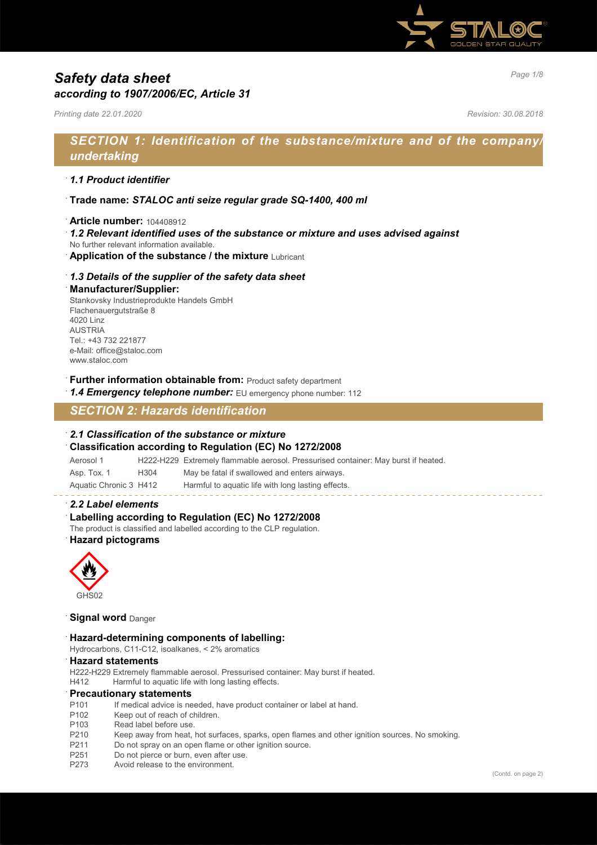

# *Page 1/8 Safety data sheet according to 1907/2006/EC, Article 31*

*Printing date 22.01.2020 Revision: 30.08.2018*

## *SECTION 1: Identification of the substance/mixture and of the company/ undertaking*

#### · *1.1 Product identifier*

- · **Trade name:** *STALOC anti seize regular grade SQ-1400, 400 ml*
- · **Article number:** 104408912
- · *1.2 Relevant identified uses of the substance or mixture and uses advised against*
- No further relevant information available.
- **Application of the substance / the mixture Lubricant**

#### · *1.3 Details of the supplier of the safety data sheet*

#### · **Manufacturer/Supplier:**

Stankovsky Industrieprodukte Handels GmbH Flachenauergutstraße 8 4020 Linz AUSTRIA Tel.: +43 732 221877 e-Mail: office@staloc.com www.staloc.com

- **Further information obtainable from:** Product safety department
- 1.4 **Emergency telephone number:** EU emergency phone number: 112

## *SECTION 2: Hazards identification*

#### · *2.1 Classification of the substance or mixture*

· **Classification according to Regulation (EC) No 1272/2008**

Aerosol 1 H222-H229 Extremely flammable aerosol. Pressurised container: May burst if heated.

| Asp. Tox. 1                                               | H304 | May be fatal if swallowed and enters airways.                                                |
|-----------------------------------------------------------|------|----------------------------------------------------------------------------------------------|
| $A \cdots A$ : $\bigcap$ $A \cdots \cdots \cdots \bigcap$ |      | the consenting the consentation of the constant of the consent of the control of the consent |

Aquatic Chronic 3 H412 Harmful to aquatic life with long lasting effects.

#### · *2.2 Label elements*

Labelling according to Regulation (EC) No 1272/2008

The product is classified and labelled according to the CLP regulation.

#### · **Hazard pictograms**



**Signal word** Danger

#### · **Hazard-determining components of labelling:**

Hydrocarbons, C11-C12, isoalkanes, < 2% aromatics

#### · **Hazard statements**

H222-H229 Extremely flammable aerosol. Pressurised container: May burst if heated.

H412 Harmful to aquatic life with long lasting effects.

#### · **Precautionary statements**

- P101 If medical advice is needed, have product container or label at hand.
- P102 Keep out of reach of children.<br>P103 Read label before use.
- Read label before use.
- P210 Keep away from heat, hot surfaces, sparks, open flames and other ignition sources. No smoking.
- P211 Do not spray on an open flame or other ignition source.
- P251 Do not pierce or burn, even after use.
- P273 Avoid release to the environment.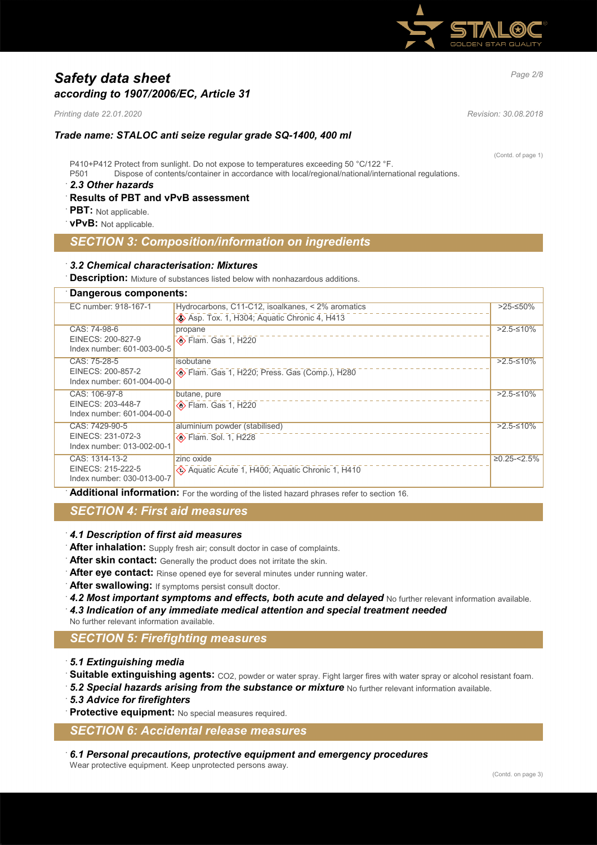

# *Page 2/8 Safety data sheet according to 1907/2006/EC, Article 31*

*Printing date 22.01.2020 Revision: 30.08.2018*

#### *Trade name: STALOC anti seize regular grade SQ-1400, 400 ml*

P410+P412 Protect from sunlight. Do not expose to temperatures exceeding 50 °C/122 °F. P501 Dispose of contents/container in accordance with local/regional/national/international regulations.

#### · *2.3 Other hazards*

#### · **Results of PBT and vPvB assessment**

- · **PBT:** Not applicable.
- · **vPvB:** Not applicable.

## *SECTION 3: Composition/information on ingredients*

#### · *3.2 Chemical characterisation: Mixtures*

**Description:** Mixture of substances listed below with nonhazardous additions.

## · **Dangerous components:**

| sangoroas somponomor                            |                                                   |                |  |
|-------------------------------------------------|---------------------------------------------------|----------------|--|
| EC number: 918-167-1                            | Hydrocarbons, C11-C12, isoalkanes, < 2% aromatics | >25-≤50%       |  |
|                                                 | Asp. Tox. 1, H304; Aquatic Chronic 4, H413        |                |  |
| CAS: 74-98-6                                    | propane                                           | $>2.5-10\%$    |  |
| EINECS: 200-827-9                               | $\diamondsuit$ Flam. Gas 1, H220                  |                |  |
| Index number: 601-003-00-5                      |                                                   |                |  |
| CAS: 75-28-5                                    | isobutane                                         | $>2.5-10\%$    |  |
| EINECS: 200-857-2                               | Blam. Gas 1, H220; Press. Gas (Comp.), H280       |                |  |
| Index number: 601-004-00-0                      |                                                   |                |  |
| CAS: 106-97-8                                   | butane, pure                                      | $>2.5-10\%$    |  |
| EINECS: 203-448-7                               | $\diamondsuit$ Flam. Gas 1, H220                  |                |  |
| Index number: 601-004-00-0                      |                                                   |                |  |
| CAS: 7429-90-5                                  | aluminium powder (stabilised)                     | $>2.5-10\%$    |  |
| EINECS: 231-072-3<br>Index number: 013-002-00-1 | <b>Example 1. H228</b>                            |                |  |
|                                                 |                                                   |                |  |
| CAS: 1314-13-2<br>EINECS: 215-222-5             | zinc oxide                                        | $≥0.25 - 2.5%$ |  |
| Index number: 030-013-00-7                      | Aquatic Acute 1, H400; Aquatic Chronic 1, H410    |                |  |
|                                                 |                                                   |                |  |

· **Additional information:** For the wording of the listed hazard phrases refer to section 16.

### *SECTION 4: First aid measures*

- · *4.1 Description of first aid measures*
- After inhalation: Supply fresh air; consult doctor in case of complaints.
- After skin contact: Generally the product does not irritate the skin.
- After eye contact: Rinse opened eye for several minutes under running water.
- After swallowing: If symptoms persist consult doctor.
- 4.2 Most important symptoms and effects, both acute and delayed No further relevant information available.
- · *4.3 Indication of any immediate medical attention and special treatment needed*

No further relevant information available.

## *SECTION 5: Firefighting measures*

- · *5.1 Extinguishing media*
- **Suitable extinguishing agents:** CO2, powder or water spray. Fight larger fires with water spray or alcohol resistant foam.
- 5.2 Special hazards arising from the substance or mixture No further relevant information available.
- · *5.3 Advice for firefighters*
- **Protective equipment:** No special measures required.

#### *SECTION 6: Accidental release measures*

· *6.1 Personal precautions, protective equipment and emergency procedures* Wear protective equipment. Keep unprotected persons away.

(Contd. of page 1)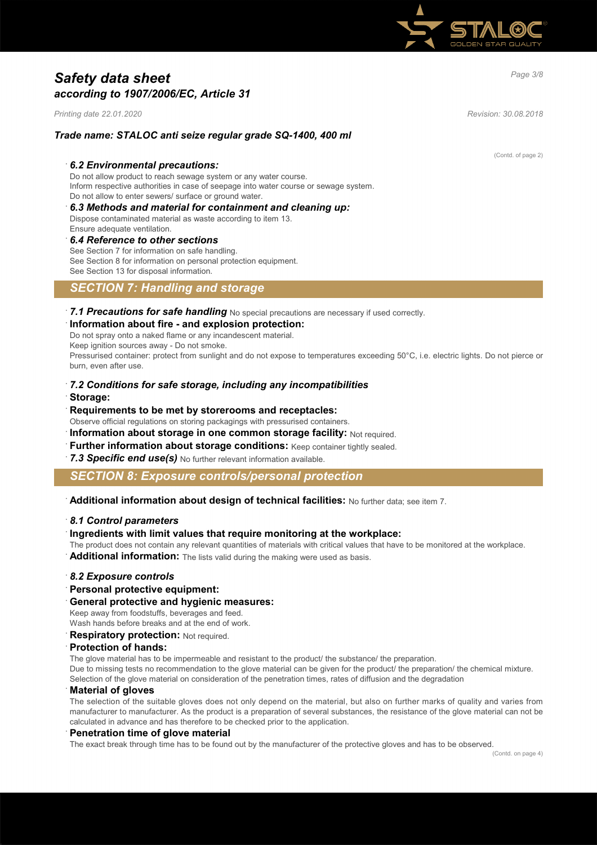

# *Page 3/8 Safety data sheet according to 1907/2006/EC, Article 31*

*Printing date 22.01.2020 Revision: 30.08.2018*

#### *Trade name: STALOC anti seize regular grade SQ-1400, 400 ml*

#### · *6.2 Environmental precautions:*

Do not allow product to reach sewage system or any water course. Inform respective authorities in case of seepage into water course or sewage system. Do not allow to enter sewers/ surface or ground water.

- · *6.3 Methods and material for containment and cleaning up:* Dispose contaminated material as waste according to item 13.
- Ensure adequate ventilation.

#### · *6.4 Reference to other sections*

See Section 7 for information on safe handling. See Section 8 for information on personal protection equipment. See Section 13 for disposal information.

### *SECTION 7: Handling and storage*

· *7.1 Precautions for safe handling* No special precautions are necessary if used correctly. · **Information about fire - and explosion protection:**

Do not spray onto a naked flame or any incandescent material. Keep ignition sources away - Do not smoke.

Pressurised container: protect from sunlight and do not expose to temperatures exceeding 50°C, i.e. electric lights. Do not pierce or burn, even after use.

- · *7.2 Conditions for safe storage, including any incompatibilities* · **Storage:**
- · **Requirements to be met by storerooms and receptacles:**
- Observe official regulations on storing packagings with pressurised containers.
- **Information about storage in one common storage facility: Not required.**
- **Further information about storage conditions:** Keep container tightly sealed.

**7.3 Specific end use(s)** No further relevant information available.

*SECTION 8: Exposure controls/personal protection*

· **Additional information about design of technical facilities:** No further data; see item 7.

#### · *8.1 Control parameters*

#### · **Ingredients with limit values that require monitoring at the workplace:**

The product does not contain any relevant quantities of materials with critical values that have to be monitored at the workplace.

Additional information: The lists valid during the making were used as basis.

#### · *8.2 Exposure controls*

- · **Personal protective equipment:**
- · **General protective and hygienic measures:**

Keep away from foodstuffs, beverages and feed.

Wash hands before breaks and at the end of work.

**Respiratory protection: Not required.** 

#### · **Protection of hands:**

The glove material has to be impermeable and resistant to the product/ the substance/ the preparation.

Due to missing tests no recommendation to the glove material can be given for the product/ the preparation/ the chemical mixture. Selection of the glove material on consideration of the penetration times, rates of diffusion and the degradation

#### · **Material of gloves**

The selection of the suitable gloves does not only depend on the material, but also on further marks of quality and varies from manufacturer to manufacturer. As the product is a preparation of several substances, the resistance of the glove material can not be calculated in advance and has therefore to be checked prior to the application.

#### · **Penetration time of glove material**

The exact break through time has to be found out by the manufacturer of the protective gloves and has to be observed.

(Contd. of page 2)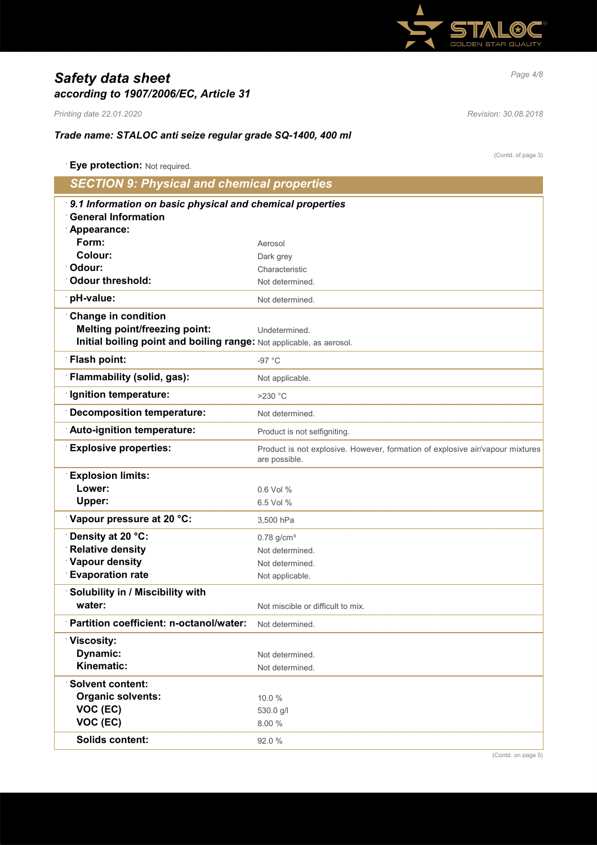

# *Page 4/8 Safety data sheet according to 1907/2006/EC, Article 31*

*Printing date 22.01.2020 Revision: 30.08.2018*

(Contd. of page 3)

## *Trade name: STALOC anti seize regular grade SQ-1400, 400 ml*

| Eye protection: Not required.                                        |                                                                                                |  |
|----------------------------------------------------------------------|------------------------------------------------------------------------------------------------|--|
| <b>SECTION 9: Physical and chemical properties</b>                   |                                                                                                |  |
| 9.1 Information on basic physical and chemical properties            |                                                                                                |  |
| <b>General Information</b>                                           |                                                                                                |  |
| Appearance:                                                          |                                                                                                |  |
| Form:                                                                | Aerosol                                                                                        |  |
| Colour:                                                              | Dark grey                                                                                      |  |
| Odour:                                                               | Characteristic                                                                                 |  |
| <b>Odour threshold:</b>                                              | Not determined.                                                                                |  |
| pH-value:                                                            | Not determined.                                                                                |  |
| <b>Change in condition</b>                                           |                                                                                                |  |
| <b>Melting point/freezing point:</b>                                 | Undetermined.                                                                                  |  |
| Initial boiling point and boiling range: Not applicable, as aerosol. |                                                                                                |  |
| <b>Flash point:</b>                                                  | $-97 °C$                                                                                       |  |
| Flammability (solid, gas):                                           | Not applicable.                                                                                |  |
| <b>Ignition temperature:</b>                                         | $>230$ °C                                                                                      |  |
| <b>Decomposition temperature:</b>                                    | Not determined.                                                                                |  |
| Auto-ignition temperature:                                           | Product is not selfigniting.                                                                   |  |
| <b>Explosive properties:</b>                                         | Product is not explosive. However, formation of explosive air/vapour mixtures<br>are possible. |  |
| <b>Explosion limits:</b>                                             |                                                                                                |  |
| Lower:                                                               | 0.6 Vol %                                                                                      |  |
| Upper:                                                               | 6.5 Vol %                                                                                      |  |
| Vapour pressure at 20 °C:                                            | 3,500 hPa                                                                                      |  |
| Density at 20 °C:                                                    | $0.78$ g/cm <sup>3</sup>                                                                       |  |
| <b>Relative density</b>                                              | Not determined.                                                                                |  |
| <b>Vapour density</b>                                                | Not determined.                                                                                |  |
| <b>Evaporation rate</b>                                              | Not applicable.                                                                                |  |
| Solubility in / Miscibility with                                     |                                                                                                |  |
| water:                                                               | Not miscible or difficult to mix.                                                              |  |
| Partition coefficient: n-octanol/water:                              | Not determined.                                                                                |  |
| Viscosity:                                                           |                                                                                                |  |
| Dynamic:                                                             | Not determined.                                                                                |  |
| Kinematic:                                                           | Not determined.                                                                                |  |
| <b>Solvent content:</b>                                              |                                                                                                |  |
| <b>Organic solvents:</b>                                             | 10.0%                                                                                          |  |
| VOC (EC)                                                             | 530.0 g/l                                                                                      |  |
| VOC (EC)                                                             | 8.00 %                                                                                         |  |
| <b>Solids content:</b>                                               | 92.0%                                                                                          |  |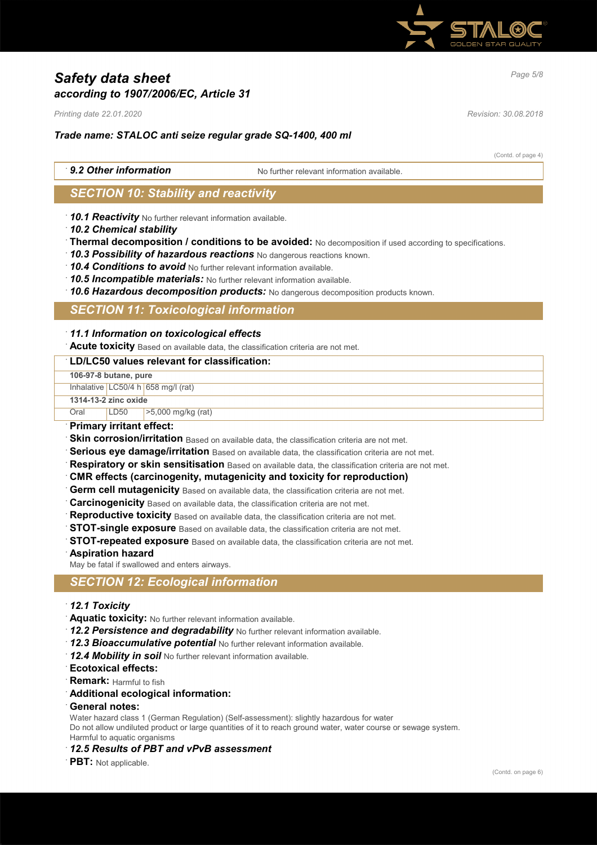

# *Page 5/8 Safety data sheet according to 1907/2006/EC, Article 31*

*Printing date 22.01.2020 Revision: 30.08.2018*

### *Trade name: STALOC anti seize regular grade SQ-1400, 400 ml*

(Contd. of page 4)

**9.2 Other information** No further relevant information available

## *SECTION 10: Stability and reactivity*

· *10.1 Reactivity* No further relevant information available.

- · *10.2 Chemical stability*
- · **Thermal decomposition / conditions to be avoided:** No decomposition if used according to specifications.
- · *10.3 Possibility of hazardous reactions* No dangerous reactions known.
- · *10.4 Conditions to avoid* No further relevant information available.
- · *10.5 Incompatible materials:* No further relevant information available.
- · *10.6 Hazardous decomposition products:* No dangerous decomposition products known.

## *SECTION 11: Toxicological information*

#### · *11.1 Information on toxicological effects*

· **Acute toxicity** Based on available data, the classification criteria are not met.

## · **LD/LC50 values relevant for classification:**

| EDIEVOU TURUCU TURTUIR TUL URUUNITUURIUIT. |      |                                      |  |
|--------------------------------------------|------|--------------------------------------|--|
| 106-97-8 butane, pure                      |      |                                      |  |
|                                            |      | Inhalative $LC50/4 h 658$ mg/l (rat) |  |
| 1314-13-2 zinc oxide                       |      |                                      |  |
| Oral                                       | LD50 | $>5,000$ mg/kg (rat)                 |  |
| Primary irritant effect:                   |      |                                      |  |
| Alternative and the Market House           |      |                                      |  |

- **Skin corrosion/irritation** Based on available data, the classification criteria are not met.
- Serious eye damage/irritation Based on available data, the classification criteria are not met.
- · **Respiratory or skin sensitisation** Based on available data, the classification criteria are not met.
- · **CMR effects (carcinogenity, mutagenicity and toxicity for reproduction)**
- **Germ cell mutagenicity** Based on available data, the classification criteria are not met.
- **Carcinogenicity** Based on available data, the classification criteria are not met.
- **Reproductive toxicity** Based on available data, the classification criteria are not met.
- **STOT-single exposure** Based on available data, the classification criteria are not met.
- **STOT-repeated exposure** Based on available data, the classification criteria are not met.
- · **Aspiration hazard**

May be fatal if swallowed and enters airways.

### *SECTION 12: Ecological information*

- · *12.1 Toxicity*
- · **Aquatic toxicity:** No further relevant information available.
- 12.2 Persistence and degradability No further relevant information available.
- · *12.3 Bioaccumulative potential* No further relevant information available.
- · *12.4 Mobility in soil* No further relevant information available.
- · **Ecotoxical effects:**
- **Remark:** Harmful to fish
- · **Additional ecological information:**
- · **General notes:**

Water hazard class 1 (German Regulation) (Self-assessment): slightly hazardous for water Do not allow undiluted product or large quantities of it to reach ground water, water course or sewage system. Harmful to aquatic organisms

- · *12.5 Results of PBT and vPvB assessment*
- · **PBT:** Not applicable.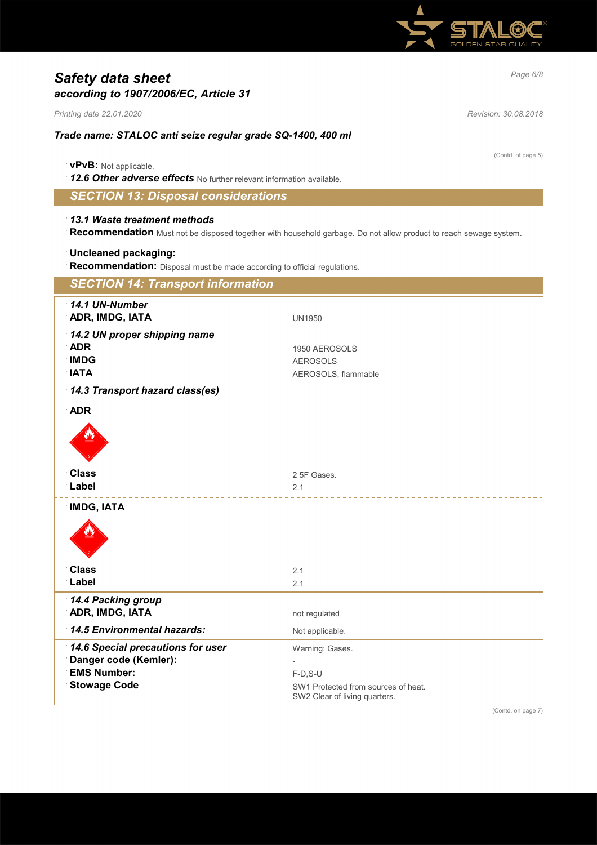

# *Page 6/8 Safety data sheet according to 1907/2006/EC, Article 31*

*Printing date 22.01.2020 Revision: 30.08.2018*

### *Trade name: STALOC anti seize regular grade SQ-1400, 400 ml*

|  |  |  |  | <b>vPvB:</b> Not applicable. |
|--|--|--|--|------------------------------|
|--|--|--|--|------------------------------|

· *12.6 Other adverse effects* No further relevant information available.

## *SECTION 13: Disposal considerations*

#### · *13.1 Waste treatment methods*

· **Recommendation** Must not be disposed together with household garbage. Do not allow product to reach sewage system.

#### · **Uncleaned packaging:**

· **Recommendation:** Disposal must be made according to official regulations.

| <b>SECTION 14: Transport information</b>  |                                                                      |  |
|-------------------------------------------|----------------------------------------------------------------------|--|
| $\cdot$ 14.1 UN-Number<br>ADR, IMDG, IATA |                                                                      |  |
|                                           | <b>UN1950</b>                                                        |  |
| 14.2 UN proper shipping name              |                                                                      |  |
| <b>ADR</b><br><b>IMDG</b>                 | 1950 AEROSOLS                                                        |  |
| <b>NATA</b>                               | <b>AEROSOLS</b>                                                      |  |
|                                           | AEROSOLS, flammable                                                  |  |
| 14.3 Transport hazard class(es)           |                                                                      |  |
| <b>ADR</b>                                |                                                                      |  |
|                                           |                                                                      |  |
|                                           |                                                                      |  |
|                                           |                                                                      |  |
|                                           |                                                                      |  |
| <b>Class</b><br>Label                     | 2 5F Gases.                                                          |  |
|                                           | 2.1                                                                  |  |
| <b>IMDG, IATA</b>                         |                                                                      |  |
|                                           |                                                                      |  |
|                                           |                                                                      |  |
|                                           |                                                                      |  |
| <b>Class</b>                              | 2.1                                                                  |  |
| Label                                     | 2.1                                                                  |  |
|                                           |                                                                      |  |
| 14.4 Packing group<br>ADR, IMDG, IATA     | not regulated                                                        |  |
|                                           |                                                                      |  |
| 14.5 Environmental hazards:               | Not applicable.                                                      |  |
| 14.6 Special precautions for user         | Warning: Gases.                                                      |  |
| Danger code (Kemler):                     |                                                                      |  |
| <b>EMS Number:</b>                        | $F-D$ , S-U                                                          |  |
| <b>Stowage Code</b>                       | SW1 Protected from sources of heat.<br>SW2 Clear of living quarters. |  |
|                                           |                                                                      |  |

(Contd. on page 7)

(Contd. of page 5)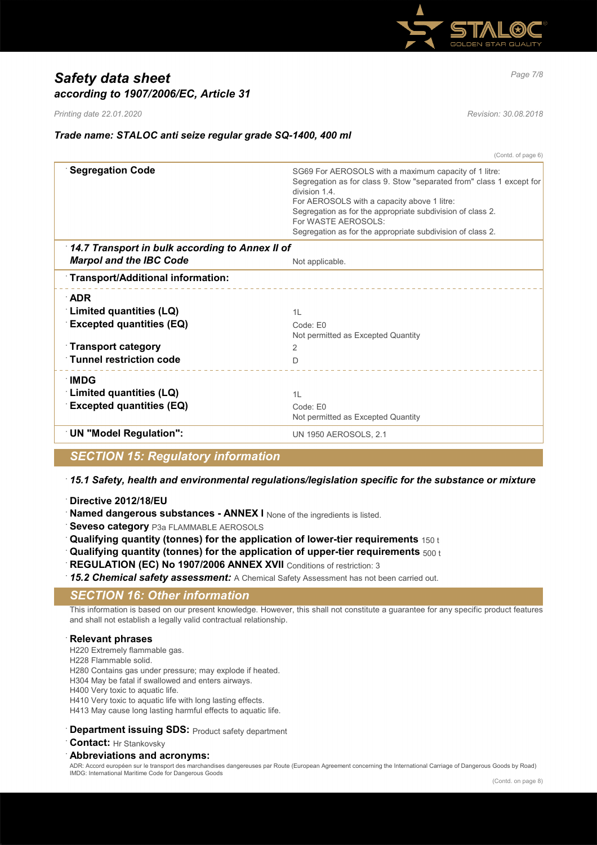

# *Page 7/8 Safety data sheet according to 1907/2006/EC, Article 31*

*Printing date 22.01.2020 Revision: 30.08.2018*

### *Trade name: STALOC anti seize regular grade SQ-1400, 400 ml*

(Contd. of page 6)

| <b>Segregation Code</b>                         | SG69 For AEROSOLS with a maximum capacity of 1 litre:<br>Segregation as for class 9. Stow "separated from" class 1 except for<br>division 1.4.<br>For AEROSOLS with a capacity above 1 litre:<br>Segregation as for the appropriate subdivision of class 2.<br>For WASTE AEROSOLS:<br>Segregation as for the appropriate subdivision of class 2. |
|-------------------------------------------------|--------------------------------------------------------------------------------------------------------------------------------------------------------------------------------------------------------------------------------------------------------------------------------------------------------------------------------------------------|
| 14.7 Transport in bulk according to Annex II of |                                                                                                                                                                                                                                                                                                                                                  |
| <b>Marpol and the IBC Code</b>                  | Not applicable.                                                                                                                                                                                                                                                                                                                                  |
| Transport/Additional information:               |                                                                                                                                                                                                                                                                                                                                                  |
| ∴ADR                                            |                                                                                                                                                                                                                                                                                                                                                  |
| <b>Limited quantities (LQ)</b>                  | 1L                                                                                                                                                                                                                                                                                                                                               |
| <b>Excepted quantities (EQ)</b>                 | Code: E0<br>Not permitted as Excepted Quantity                                                                                                                                                                                                                                                                                                   |
| <b>Transport category</b>                       | 2                                                                                                                                                                                                                                                                                                                                                |
| <b>Tunnel restriction code</b>                  | D                                                                                                                                                                                                                                                                                                                                                |
| ∴IMDG                                           |                                                                                                                                                                                                                                                                                                                                                  |
| Limited quantities (LQ)                         | 1L                                                                                                                                                                                                                                                                                                                                               |
| <b>Excepted quantities (EQ)</b>                 | Code: E0<br>Not permitted as Excepted Quantity                                                                                                                                                                                                                                                                                                   |
| <b>UN "Model Regulation":</b>                   | <b>UN 1950 AEROSOLS, 2.1</b>                                                                                                                                                                                                                                                                                                                     |
|                                                 |                                                                                                                                                                                                                                                                                                                                                  |

*SECTION 15: Regulatory information*

· *15.1 Safety, health and environmental regulations/legislation specific for the substance or mixture*

- · **Directive 2012/18/EU**
- **Named dangerous substances ANNEX I** None of the ingredients is listed.
- **Seveso category** P3a FLAMMABLE AEROSOLS
- · **Qualifying quantity (tonnes) for the application of lower-tier requirements** 150 t
- · **Qualifying quantity (tonnes) for the application of upper-tier requirements** 500 t
- **REGULATION (EC) No 1907/2006 ANNEX XVII** Conditions of restriction: 3
- 15.2 Chemical safety assessment: A Chemical Safety Assessment has not been carried out.

### *SECTION 16: Other information*

This information is based on our present knowledge. However, this shall not constitute a guarantee for any specific product features and shall not establish a legally valid contractual relationship.

#### · **Relevant phrases**

- H220 Extremely flammable gas.
- H228 Flammable solid.
- H280 Contains gas under pressure; may explode if heated.
- H304 May be fatal if swallowed and enters airways.
- H400 Very toxic to aquatic life.
- H410 Very toxic to aquatic life with long lasting effects.

H413 May cause long lasting harmful effects to aquatic life.

- **Department issuing SDS: Product safety department**
- · **Contact:** Hr Stankovsky

#### · **Abbreviations and acronyms:**

ADR: Accord européen sur le transport des marchandises dangereuses par Route (European Agreement concerning the International Carriage of Dangerous Goods by Road) IMDG: International Maritime Code for Dangerous Goods